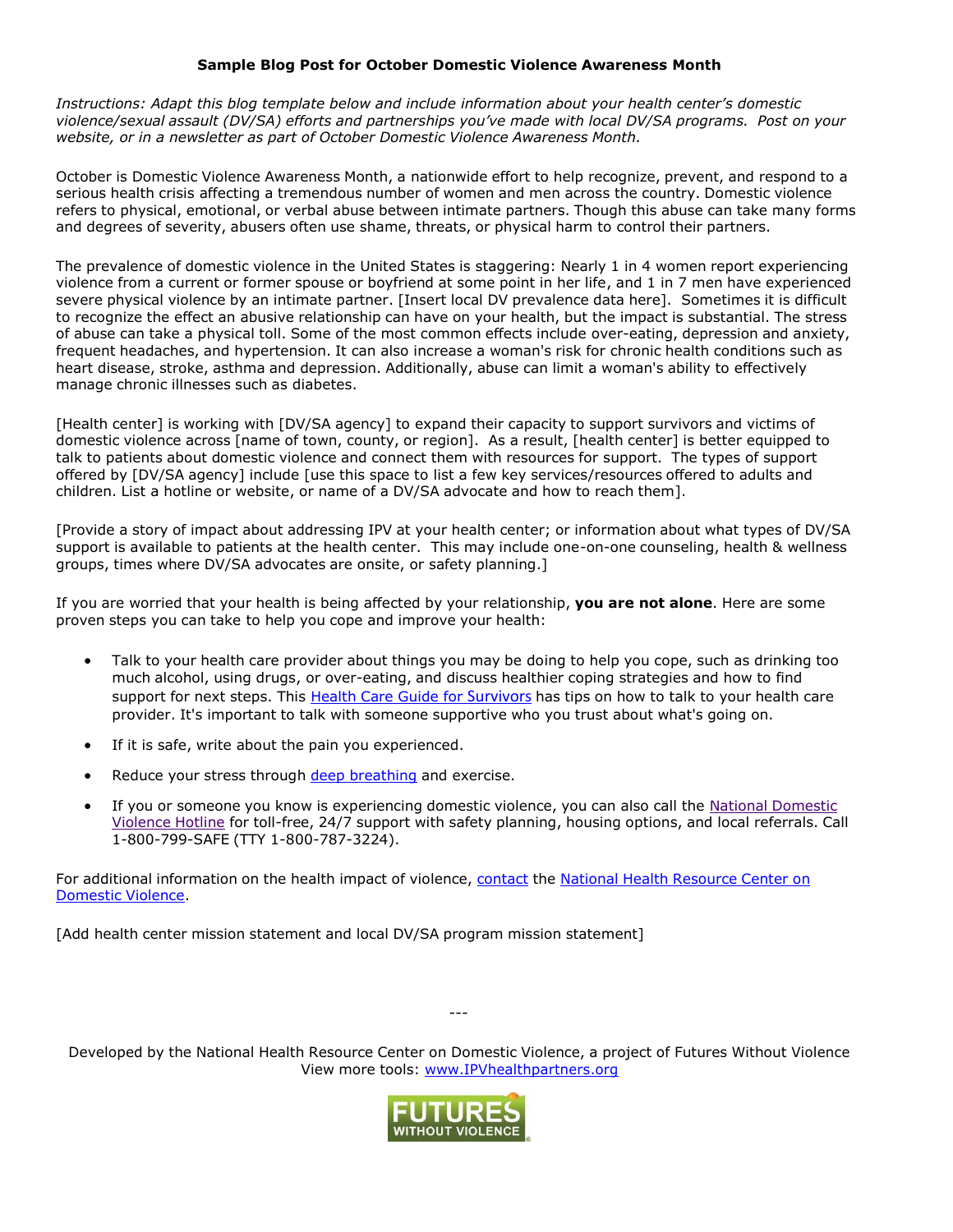## **Sample Blog Post for October Domestic Violence Awareness Month**

*Instructions: Adapt this blog template below and include information about your health center's domestic violence/sexual assault (DV/SA) efforts and partnerships you've made with local DV/SA programs. Post on your website, or in a newsletter as part of October Domestic Violence Awareness Month.*

October is Domestic Violence Awareness Month, a nationwide effort to help recognize, prevent, and respond to a serious health crisis affecting a tremendous number of women and men across the country. Domestic violence refers to physical, emotional, or verbal abuse between intimate partners. Though this abuse can take many forms and degrees of severity, abusers often use shame, threats, or physical harm to control their partners.

The prevalence of domestic violence in the United States is staggering: Nearly 1 in 4 women report experiencing violence from a current or former spouse or boyfriend at some point in her life, and 1 in 7 men have experienced severe physical violence by an intimate partner. [Insert local DV prevalence data here]. Sometimes it is difficult to recognize the effect an abusive relationship can have on your health, but the impact is substantial. The stress of abuse can take a physical toll. Some of the most common effects include over-eating, depression and anxiety, frequent headaches, and hypertension. It can also increase a woman's risk for chronic health conditions such as heart disease, stroke, asthma and depression. Additionally, abuse can limit a woman's ability to effectively manage chronic illnesses such as diabetes.

[Health center] is working with [DV/SA agency] to expand their capacity to support survivors and victims of domestic violence across [name of town, county, or region]. As a result, [health center] is better equipped to talk to patients about domestic violence and connect them with resources for support. The types of support offered by [DV/SA agency] include [use this space to list a few key services/resources offered to adults and children. List a hotline or website, or name of a DV/SA advocate and how to reach them].

[Provide a story of impact about addressing IPV at your health center; or information about what types of DV/SA support is available to patients at the health center. This may include one-on-one counseling, health & wellness groups, times where DV/SA advocates are onsite, or safety planning.]

If you are worried that your health is being affected by your relationship, **you are not alone**. Here are some proven steps you can take to help you cope and improve your health:

- Talk to your health care provider about things you may be doing to help you cope, such as drinking too much alcohol, using drugs, or over-eating, and discuss healthier coping strategies and how to find support for next steps. This Health Care Guide for [Survivors](https://www.futureswithoutviolence.org/new-resource-survivor-brochure/) has tips on how to talk to your health care provider. It's important to talk with someone supportive who you trust about what's going on.
- If it is safe, write about the pain you experienced.
- Reduce your stress through deep [breathing](http://t2health.dcoe.mil/apps/tactical-breather) and exercise.
- If you or someone you know is experiencing domestic violence, you can also call the National [Domestic](http://www.thehotline.org/) [Violence](http://www.thehotline.org/) Hotline for toll-free, 24/7 support with safety planning, housing options, and local referrals. Call 1-800-799-SAFE (TTY 1-800-787-3224).

For additional information on the health impact of violence, [contact](mailto:health@futureswithoutviolence.org) the National Health [Resource](https://www.futureswithoutviolence.org/health/national-health-resource-center-on-domestic-violence/) Center on [Domestic](https://www.futureswithoutviolence.org/health/national-health-resource-center-on-domestic-violence/) Violence.

[Add health center mission statement and local DV/SA program mission statement]

Developed by the National Health Resource Center on Domestic Violence, a project of Futures Without Violence View more tools: [www.IPVhealthpartners.org](http://www.ipvhealthpartners.org/)

---